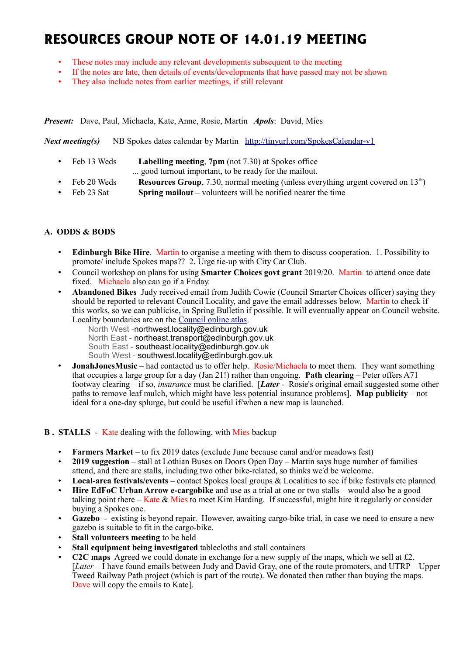# **RESOURCES GROUP NOTE OF 14.01.19 MEETING**

- These notes may include any relevant developments subsequent to the meeting
- If the notes are late, then details of events/developments that have passed may not be shown
- They also include notes from earlier meetings, if still relevant

*Present:* Dave, Paul, Michaela, Kate, Anne, Rosie, Martin *Apols*: David, Mies

*Next meeting(s)*NB Spokes dates calendar by Martin <http://tinyurl.com/SpokesCalendar-v1>

- Feb 13 Weds **Labelling meeting**, **7pm** (not 7.30) at Spokes office
	- ... good turnout important, to be ready for the mailout.
- Feb 20 Weds **Resources Group**, 7.30, normal meeting (unless everything urgent covered on 13<sup>th</sup>)
- Feb 23 Sat **Spring mailout** volunteers will be notified nearer the time

## **A. ODDS & BODS**

- **Edinburgh Bike Hire**. Martin to organise a meeting with them to discuss cooperation. 1. Possibility to promote/ include Spokes maps?? 2. Urge tie-up with City Car Club.
- Council workshop on plans for using **Smarter Choices govt grant** 2019/20. Martin to attend once date fixed. Michaela also can go if a Friday.
- **Abandoned Bikes** Judy received email from Judith Cowie (Council Smarter Choices officer) saying they should be reported to relevant Council Locality, and gave the email addresses below. Martin to check if this works, so we can publicise, in Spring Bulletin if possible. It will eventually appear on Council website. Locality boundaries are on the [Council online atlas.](https://edinburghcouncil.maps.arcgis.com/apps/webappviewer/index.html?id=9dfa229ba4004f7ca642ed3bd9702094)
	- North West -northwest.locality@edinburgh.gov.uk North East - northeast.transport@edinburgh.gov.uk South East - southeast.locality@edinburgh.gov.uk South West - southwest.locality@edinburgh.gov.uk
- **JonahJonesMusic** had contacted us to offer help. Rosie/Michaela to meet them. They want something that occupies a large group for a day (Jan 21!) rather than ongoing. **Path clearing** – Peter offers A71 footway clearing – if so, *insurance* must be clarified. [*Later* - Rosie's original email suggested some other paths to remove leaf mulch, which might have less potential insurance problems]. **Map publicity** – not ideal for a one-day splurge, but could be useful if/when a new map is launched.

## **B.** STALLS - Kate dealing with the following, with Mies backup

- **Farmers Market** to fix 2019 dates (exclude June because canal and/or meadows fest)
- **2019 suggestion** stall at Lothian Buses on Doors Open Day Martin says huge number of families attend, and there are stalls, including two other bike-related, so thinks we'd be welcome.
- **Local-area festivals/events** contact Spokes local groups & Localities to see if bike festivals etc planned
- **Hire EdFoC Urban Arrow e-cargobike** and use as a trial at one or two stalls would also be a good talking point there – Kate & Mies to meet Kim Harding. If successful, might hire it regularly or consider buying a Spokes one.
- **Gazebo** existing is beyond repair. However, awaiting cargo-bike trial, in case we need to ensure a new gazebo is suitable to fit in the cargo-bike.
- **Stall volunteers meeting** to be held
- **Stall equipment being investigated** tablecloths and stall containers
- **C2C maps** Agreed we could donate in exchange for a new supply of the maps, which we sell at £2. [*Later* – I have found emails between Judy and David Gray, one of the route promoters, and UTRP – Upper Tweed Railway Path project (which is part of the route). We donated then rather than buying the maps. Dave will copy the emails to Kate].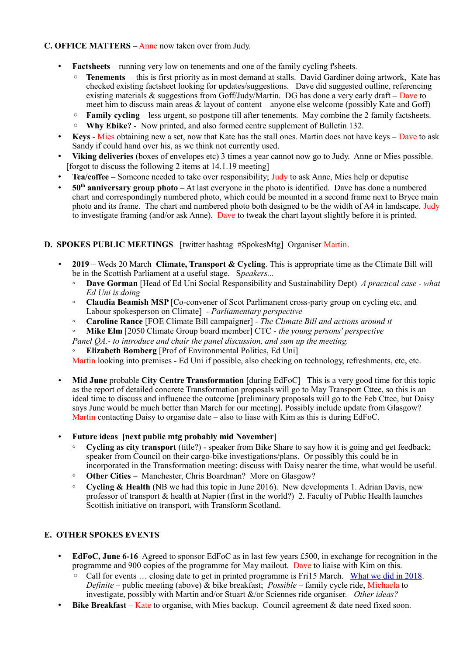## **C. OFFICE MATTERS** – Anne now taken over from Judy.

- **Factsheets** running very low on tenements and one of the family cycling f'sheets.
	- **Tenements**  this is first priority as in most demand at stalls. David Gardiner doing artwork, Kate has checked existing factsheet looking for updates/suggestions. Dave did suggested outline, referencing existing materials & suggestions from Goff/Judy/Martin. DG has done a very early draft – Dave to meet him to discuss main areas  $\&$  layout of content – anyone else welcome (possibly Kate and Goff)
	- **Family cycling** less urgent, so postpone till after tenements. May combine the 2 family factsheets.
	- **Why Ebike?** Now printed, and also formed centre supplement of Bulletin 132.
- **Keys** Mies obtaining new a set, now that Kate has the stall ones. Martin does not have keys Dave to ask Sandy if could hand over his, as we think not currently used.
- **Viking deliveries** (boxes of envelopes etc) 3 times a year cannot now go to Judy. Anne or Mies possible. [forgot to discuss the following 2 items at  $14.1.19$  meeting]
- **Tea/coffee** Someone needed to take over responsibility; Judy to ask Anne, Mies help or deputise
- **50th anniversary group photo** At last everyone in the photo is identified. Dave has done a numbered chart and correspondingly numbered photo, which could be mounted in a second frame next to Bryce main photo and its frame. The chart and numbered photo both designed to be the width of A4 in landscape. Judy to investigate framing (and/or ask Anne). Dave to tweak the chart layout slightly before it is printed.

## **D. SPOKES PUBLIC MEETINGS** [twitter hashtag #SpokesMtg] Organiser Martin.

- **2019** Weds 20 March **Climate, Transport & Cycling**. This is appropriate time as the Climate Bill will be in the Scottish Parliament at a useful stage. S*peakers...*
	- **Dave Gorman** [Head of Ed Uni Social Responsibility and Sustainability Dept) *A practical case what Ed Uni is doing*
	- **Claudia Beamish MSP** [Co-convener of Scot Parlimanent cross-party group on cycling etc, and Labour spokesperson on Climate] - *Parliamentary perspective*
	- **Caroline Rance** [FOE Climate Bill campaigner] *The Climate Bill and actions around it*
	- **Mike Elm** [2050 Climate Group board member] CTC *the young persons' perspective*
	- *Panel QA.- to introduce and chair the panel discussion, and sum up the meeting.*
	- **Elizabeth Bomberg** [Prof of Environmental Politics, Ed Uni]

Martin looking into premises - Ed Uni if possible, also checking on technology, refreshments, etc, etc.

• **Mid June** probable **City Centre Transformation** [during EdFoC] This is a very good time for this topic as the report of detailed concrete Transformation proposals will go to May Transport Cttee, so this is an ideal time to discuss and influence the outcome [preliminary proposals will go to the Feb Cttee, but Daisy says June would be much better than March for our meeting]. Possibly include update from Glasgow? Martin contacting Daisy to organise date – also to liase with Kim as this is during EdFoC.

#### • **Future ideas [next public mtg probably mid November]**

- **Cycling as city transport** (title?) speaker from Bike Share to say how it is going and get feedback; speaker from Council on their cargo-bike investigations/plans. Or possibly this could be in incorporated in the Transformation meeting: discuss with Daisy nearer the time, what would be useful.
- **Other Cities** Manchester, Chris Boardman? More on Glasgow?
- **Cycling & Health** (NB we had this topic in June 2016). New developments 1. Adrian Davis, new professor of transport & health at Napier (first in the world?) 2. Faculty of Public Health launches Scottish initiative on transport, with Transform Scotland.

## **E. OTHER SPOKES EVENTS**

- **EdFoC, June 6-16** Agreed to sponsor EdFoC as in last few years £500, in exchange for recognition in the programme and 900 copies of the programme for May mailout. Dave to liaise with Kim on this.
	- Call for events ... closing date to get in printed programme is Fri15 March. [What we did in 2018.](http://www.spokes.org.uk/2018/06/city-centre-transformation-and-edfoc/) *Definite* – public meeting (above) & bike breakfast; *Possible* – family cycle ride, Michaela to investigate, possibly with Martin and/or Stuart &/or Sciennes ride organiser. *Other ideas?*
- **Bike Breakfast** Kate to organise, with Mies backup. Council agreement & date need fixed soon.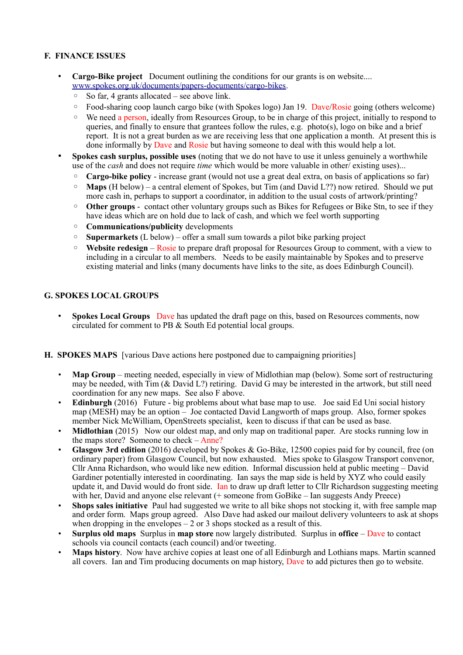## **F. FINANCE ISSUES**

- **Cargo-Bike project** Document outlining the conditions for our grants is on website.... [www.spokes.org.uk/documents/papers-documents/cargo-bikes.](http://www.spokes.org.uk/documents/papers-documents/cargo-bikes)
	- So far, 4 grants allocated  $-$  see above link.
	- Food-sharing coop launch cargo bike (with Spokes logo) Jan 19. Dave/Rosie going (others welcome)
	- We need a person, ideally from Resources Group, to be in charge of this project, initially to respond to queries, and finally to ensure that grantees follow the rules, e.g. photo(s), logo on bike and a brief report. It is not a great burden as we are receiving less that one application a month. At present this is done informally by Dave and Rosie but having someone to deal with this would help a lot.
- **Spokes cash surplus, possible uses** (noting that we do not have to use it unless genuinely a worthwhile use of the *cash* and does not require *time* which would be more valuable in other/ existing uses)...
	- **Cargo-bike policy** increase grant (would not use a great deal extra, on basis of applications so far)
	- **Maps** (H below) a central element of Spokes, but Tim (and David L??) now retired. Should we put more cash in, perhaps to support a coordinator, in addition to the usual costs of artwork/printing?
	- **Other groups** contact other voluntary groups such as Bikes for Refugees or Bike Stn, to see if they have ideas which are on hold due to lack of cash, and which we feel worth supporting
	- **Communications/publicity** developments
	- **Supermarkets** (L below) offer a small sum towards a pilot bike parking project
	- **Website redesign** Rosie to prepare draft proposal for Resources Group to comment, with a view to including in a circular to all members. Needs to be easily maintainable by Spokes and to preserve existing material and links (many documents have links to the site, as does Edinburgh Council).

## **G. SPOKES LOCAL GROUPS**

• **Spokes Local Groups** Dave has updated the draft page on this, based on Resources comments, now circulated for comment to PB & South Ed potential local groups.

#### **H. SPOKES MAPS** [various Dave actions here postponed due to campaigning priorities]

- **Map Group** meeting needed, especially in view of Midlothian map (below). Some sort of restructuring may be needed, with Tim (& David L?) retiring. David G may be interested in the artwork, but still need coordination for any new maps. See also F above.
- **Edinburgh** (2016) Future big problems about what base map to use. Joe said Ed Uni social history map (MESH) may be an option – Joe contacted David Langworth of maps group. Also, former spokes member Nick McWilliam, OpenStreets specialist, keen to discuss if that can be used as base.
- **Midlothian** (2015) Now our oldest map, and only map on traditional paper. Are stocks running low in the maps store? Someone to check – Anne?
- **Glasgow 3rd edition** (2016) developed by Spokes & Go-Bike, 12500 copies paid for by council, free (on ordinary paper) from Glasgow Council, but now exhausted. Mies spoke to Glasgow Transport convenor, Cllr Anna Richardson, who would like new edition. Informal discussion held at public meeting – David Gardiner potentially interested in coordinating. Ian says the map side is held by XYZ who could easily update it, and David would do front side. Ian to draw up draft letter to Cllr Richardson suggesting meeting with her, David and anyone else relevant (+ someone from GoBike – Ian suggests Andy Preece)
- **Shops sales initiative** Paul had suggested we write to all bike shops not stocking it, with free sample map and order form. Maps group agreed. Also Dave had asked our mailout delivery volunteers to ask at shops when dropping in the envelopes  $-2$  or 3 shops stocked as a result of this.
- **Surplus old maps** Surplus in **map store** now largely distributed. Surplus in **office** Dave to contact schools via council contacts (each council) and/or tweeting.
- **Maps history**. Now have archive copies at least one of all Edinburgh and Lothians maps. Martin scanned all covers. Ian and Tim producing documents on map history, Dave to add pictures then go to website.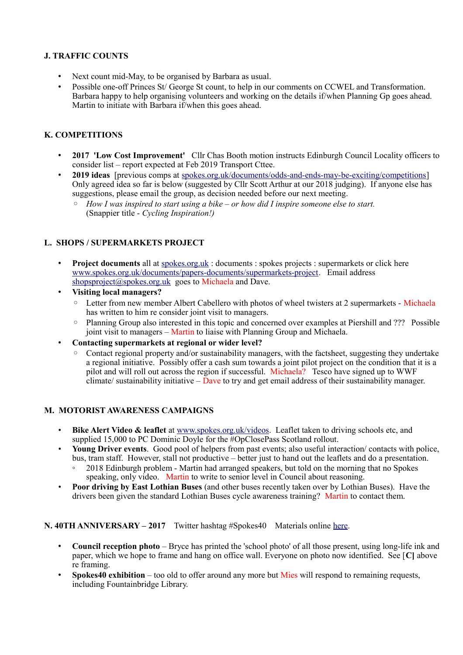## **J. TRAFFIC COUNTS**

- Next count mid-May, to be organised by Barbara as usual.
- Possible one-off Princes St/ George St count, to help in our comments on CCWEL and Transformation. Barbara happy to help organising volunteers and working on the details if/when Planning Gp goes ahead. Martin to initiate with Barbara if/when this goes ahead.

# **K. COMPETITIONS**

- **2017 'Low Cost Improvement'** Cllr Chas Booth motion instructs Edinburgh Council Locality officers to consider list – report expected at Feb 2019 Transport Cttee.
- **2019 ideas** [previous comps at [spokes.org.uk/documents/odds-and-ends-may-be-exciting/competitions\]](http://www.spokes.org.uk/documents/odds-and-ends-may-be-exciting/competitions/) Only agreed idea so far is below (suggested by Cllr Scott Arthur at our 2018 judging). If anyone else has suggestions, please email the group, as decision needed before our next meeting.
	- *How I was inspired to start using a bike or how did I inspire someone else to start.*  (Snappier title - *Cycling Inspiration!)*

# **L. SHOPS / SUPERMARKETS PROJECT**

- **Project documents** all at [spokes.org.uk](http://spokes.org.uk/) : documents : spokes projects : supermarkets or click here [www.spokes.org.uk/documents/papers-documents/supermarkets-project.](http://www.spokes.org.uk/documents/papers-documents/supermarkets-project) Email address [shopsproject@spokes.org.uk](mailto:shopsproject@spokes.org.uk) goes to Michaela and Dave.
- **Visiting local managers?**
	- Letter from new member Albert Cabellero with photos of wheel twisters at 2 supermarkets Michaela has written to him re consider joint visit to managers.
	- Planning Group also interested in this topic and concerned over examples at Piershill and ??? Possible joint visit to managers – Martin to liaise with Planning Group and Michaela.
- **Contacting supermarkets at regional or wider level?**
	- Contact regional property and/or sustainability managers, with the factsheet, suggesting they undertake a regional initiative. Possibly offer a cash sum towards a joint pilot project on the condition that it is a pilot and will roll out across the region if successful. Michaela? Tesco have signed up to WWF climate/ sustainability initiative – Dave to try and get email address of their sustainability manager.

## **M. MOTORIST AWARENESS CAMPAIGNS**

- **Bike Alert Video & leaflet** at [www.spokes.org.uk/videos.](http://www.spokes.org.uk/videos) Leaflet taken to driving schools etc, and supplied 15,000 to PC Dominic Doyle for the #OpClosePass Scotland rollout.
- **Young Driver events**. Good pool of helpers from past events; also useful interaction/ contacts with police, bus, tram staff. However, stall not productive – better just to hand out the leaflets and do a presentation.
	- 2018 Edinburgh problem Martin had arranged speakers, but told on the morning that no Spokes speaking, only video. Martin to write to senior level in Council about reasoning.
- **Poor driving by East Lothian Buses** (and other buses recently taken over by Lothian Buses). Have the drivers been given the standard Lothian Buses cycle awareness training? Martin to contact them.

## **N. 40TH ANNIVERSARY – 2017** Twitter hashtag #Spokes40 Materials online [here.](http://www.spokes.org.uk/documents/odds-and-ends-may-be-exciting/spokes-history/)

- **Council reception photo** Bryce has printed the 'school photo' of all those present, using long-life ink and paper, which we hope to frame and hang on office wall. Everyone on photo now identified. See [**C]** above re framing.
- **Spokes40 exhibition** too old to offer around any more but Mies will respond to remaining requests, including Fountainbridge Library.